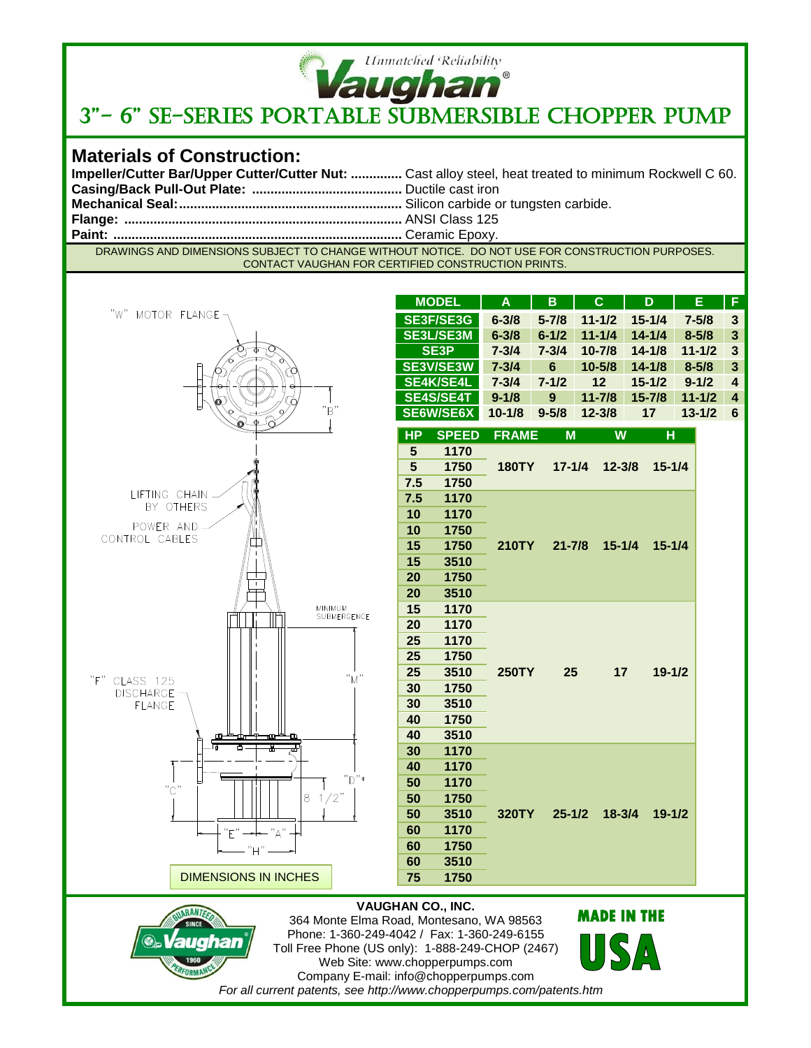

# **Vaughan**<br>3"- 6" SE-SERIES PORTABLE SUBMERSIBLE CHOPPER PUMP

### **Materials of Construction:**

| Impeller/Cutter Bar/Upper Cutter/Cutter Nut:  Cast alloy steel, heat treated to minimum Rockwell C 60. |
|--------------------------------------------------------------------------------------------------------|
|                                                                                                        |
|                                                                                                        |
|                                                                                                        |
|                                                                                                        |
|                                                                                                        |

DRAWINGS AND DIMENSIONS SUBJECT TO CHANGE WITHOUT NOTICE. DO NOT USE FOR CONSTRUCTION PURPOSES. CONTACT VAUGHAN FOR CERTIFIED CONSTRUCTION PRINTS.



|                | <b>MODEL</b>     | A                                                      | B         | C          | D          | Е          | F |  |  |
|----------------|------------------|--------------------------------------------------------|-----------|------------|------------|------------|---|--|--|
|                | <b>SE3F/SE3G</b> | $6 - 3/8$                                              | $5 - 7/8$ | $11 - 1/2$ | $15 - 1/4$ | $7 - 5/8$  | 3 |  |  |
|                | <b>SE3L/SE3M</b> | $6 - 3/8$                                              | $6 - 1/2$ | $11 - 1/4$ | $14 - 1/4$ | $8 - 5/8$  | 3 |  |  |
|                | <b>SE3P</b>      | $7 - 3/4$                                              | $7 - 3/4$ | $10 - 7/8$ | $14 - 1/8$ | $11 - 1/2$ | 3 |  |  |
|                | <b>SE3V/SE3W</b> | $7 - 3/4$                                              | 6         | $10 - 5/8$ | $14 - 1/8$ | $8 - 5/8$  | 3 |  |  |
|                | <b>SE4K/SE4L</b> | $7 - 3/4$                                              | $7 - 1/2$ | 12         | $15 - 1/2$ | $9 - 1/2$  | 4 |  |  |
|                | <b>SE4S/SE4T</b> | $9 - 1/8$                                              | 9         | $11 - 7/8$ | $15 - 7/8$ | $11 - 1/2$ | 4 |  |  |
|                | SE6W/SE6X        | $10 - 1/8$                                             | $9 - 5/8$ | $12 - 3/8$ | 17         | $13 - 1/2$ | 6 |  |  |
| <b>HP</b>      | <b>SPEED</b>     | <b>FRAME</b>                                           | M         | W          | н          |            |   |  |  |
| 5              | 1170             | <b>180TY</b><br>$17 - 1/4$<br>$12 - 3/8$<br>$15 - 1/4$ |           |            |            |            |   |  |  |
| 5              | 1750             |                                                        |           |            |            |            |   |  |  |
| 7.5            | 1750             |                                                        |           |            |            |            |   |  |  |
| 7.5            | 1170             |                                                        |           |            |            |            |   |  |  |
| $\overline{ }$ | $\overline{11}$  |                                                        |           |            |            |            |   |  |  |

| د./ | 1750 |              |            |            |            |  |
|-----|------|--------------|------------|------------|------------|--|
| 7.5 | 1170 |              |            |            |            |  |
| 10  | 1170 |              |            |            |            |  |
| 10  | 1750 |              |            |            |            |  |
| 15  | 1750 | <b>210TY</b> | $21 - 7/8$ | $15 - 1/4$ | $15 - 1/4$ |  |
| 15  | 3510 |              |            |            |            |  |
| 20  | 1750 |              |            |            |            |  |
| 20  | 3510 |              |            |            |            |  |
| 15  | 1170 |              |            |            |            |  |
| 20  | 1170 |              |            |            |            |  |
| 25  | 1170 |              |            |            |            |  |
| 25  | 1750 |              |            |            |            |  |
| 25  | 3510 | <b>250TY</b> | 25         | 17         | $19 - 1/2$ |  |
| 30  | 1750 |              |            |            |            |  |
| 30  | 3510 |              |            |            |            |  |
| 40  | 1750 |              |            |            |            |  |
| 40  | 3510 |              |            |            |            |  |
| 30  | 1170 |              |            |            |            |  |
| 40  | 1170 |              |            |            |            |  |
| 50  | 1170 |              |            |            |            |  |
| 50  | 1750 |              |            |            |            |  |
| 50  | 3510 | 320TY        | $25 - 1/2$ | $18 - 3/4$ | $19 - 1/2$ |  |
| 60  | 1170 |              |            |            |            |  |
| 60  | 1750 |              |            |            |            |  |
| 60  | 3510 |              |            |            |            |  |

#### **VAUGHAN CO., INC.**

**75 1750**



364 Monte Elma Road, Montesano, WA 98563 Phone: 1-360-249-4042 / Fax: 1-360-249-6155 Toll Free Phone (US only): 1-888-249-CHOP (2467) Web Site: www.chopperpumps.com Company E-mail: info@chopperpumps.com *For all current patents, see http://www.chopperpumps.com/patents.htm*